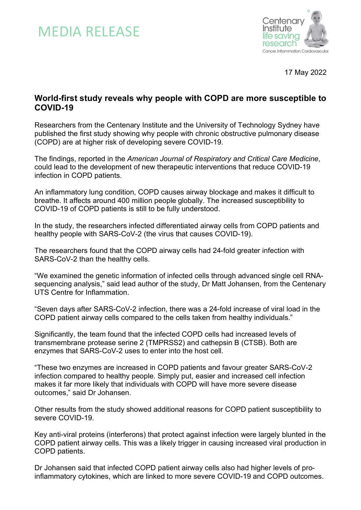



17 May 2022

# **World-first study reveals why people with COPD are more susceptible to COVID-19**

Researchers from the Centenary Institute and the University of Technology Sydney have published the first study showing why people with chronic obstructive pulmonary disease (COPD) are at higher risk of developing severe COVID-19.

The findings, reported in the *American Journal of Respiratory and Critical Care Medicine*, could lead to the development of new therapeutic interventions that reduce COVID-19 infection in COPD patients.

An inflammatory lung condition, COPD causes airway blockage and makes it difficult to breathe. It affects around 400 million people globally. The increased susceptibility to COVID-19 of COPD patients is still to be fully understood.

In the study, the researchers infected differentiated airway cells from COPD patients and healthy people with SARS-CoV-2 (the virus that causes COVID-19).

The researchers found that the COPD airway cells had 24-fold greater infection with SARS-CoV-2 than the healthy cells.

"We examined the genetic information of infected cells through advanced single cell RNAsequencing analysis," said lead author of the study, Dr Matt Johansen, from the Centenary UTS Centre for Inflammation.

"Seven days after SARS-CoV-2 infection, there was a 24-fold increase of viral load in the COPD patient airway cells compared to the cells taken from healthy individuals."

Significantly, the team found that the infected COPD cells had increased levels of transmembrane protease serine 2 (TMPRSS2) and cathepsin B (CTSB). Both are enzymes that SARS-CoV-2 uses to enter into the host cell.

"These two enzymes are increased in COPD patients and favour greater SARS-CoV-2 infection compared to healthy people. Simply put, easier and increased cell infection makes it far more likely that individuals with COPD will have more severe disease outcomes," said Dr Johansen.

Other results from the study showed additional reasons for COPD patient susceptibility to severe COVID-19.

Key anti-viral proteins (interferons) that protect against infection were largely blunted in the COPD patient airway cells. This was a likely trigger in causing increased viral production in COPD patients.

Dr Johansen said that infected COPD patient airway cells also had higher levels of proinflammatory cytokines, which are linked to more severe COVID-19 and COPD outcomes.